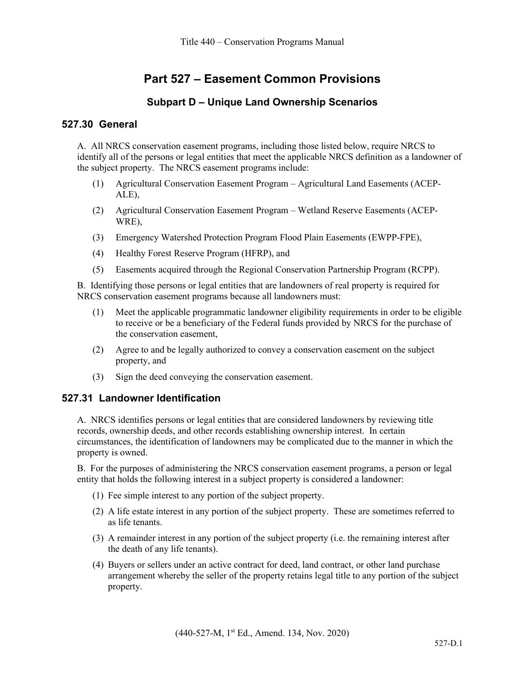## **Part 527 – Easement Common Provisions**

## **Subpart D – Unique Land Ownership Scenarios**

## **527.30 General**

A. All NRCS conservation easement programs, including those listed below, require NRCS to identify all of the persons or legal entities that meet the applicable NRCS definition as a landowner of the subject property. The NRCS easement programs include:

- (1) Agricultural Conservation Easement Program Agricultural Land Easements (ACEP-ALE),
- (2) Agricultural Conservation Easement Program Wetland Reserve Easements (ACEP-WRE),
- (3) Emergency Watershed Protection Program Flood Plain Easements (EWPP-FPE),
- (4) Healthy Forest Reserve Program (HFRP), and
- (5) Easements acquired through the Regional Conservation Partnership Program (RCPP).

B. Identifying those persons or legal entities that are landowners of real property is required for NRCS conservation easement programs because all landowners must:

- (1) Meet the applicable programmatic landowner eligibility requirements in order to be eligible to receive or be a beneficiary of the Federal funds provided by NRCS for the purchase of the conservation easement,
- (2) Agree to and be legally authorized to convey a conservation easement on the subject property, and
- (3) Sign the deed conveying the conservation easement.

## **527.31 Landowner Identification**

A. NRCS identifies persons or legal entities that are considered landowners by reviewing title records, ownership deeds, and other records establishing ownership interest. In certain circumstances, the identification of landowners may be complicated due to the manner in which the property is owned.

B. For the purposes of administering the NRCS conservation easement programs, a person or legal entity that holds the following interest in a subject property is considered a landowner:

- (1) Fee simple interest to any portion of the subject property.
- (2) A life estate interest in any portion of the subject property. These are sometimes referred to as life tenants.
- (3) A remainder interest in any portion of the subject property (i.e. the remaining interest after the death of any life tenants).
- (4) Buyers or sellers under an active contract for deed, land contract, or other land purchase arrangement whereby the seller of the property retains legal title to any portion of the subject property.